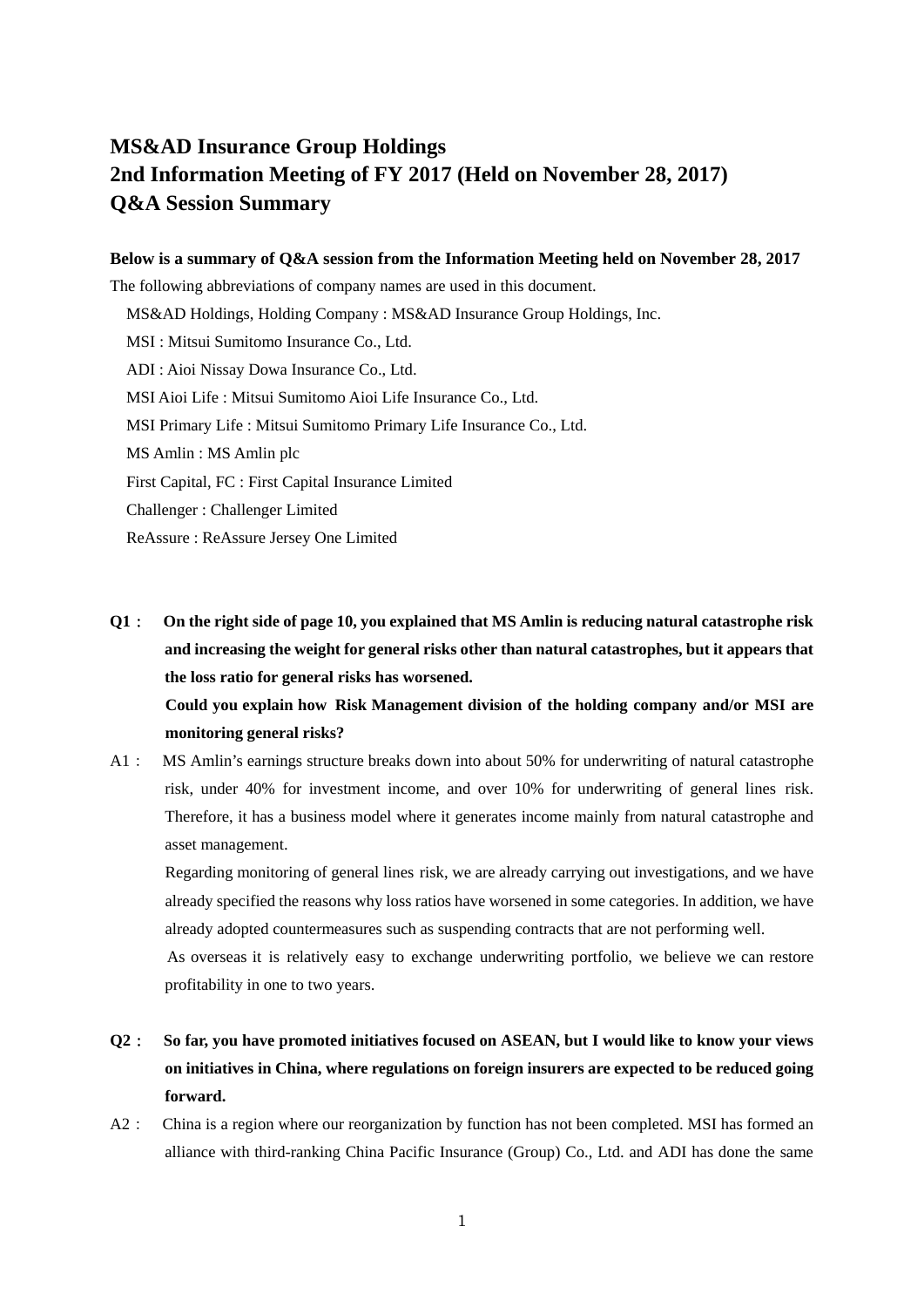# **MS&AD Insurance Group Holdings 2nd Information Meeting of FY 2017 (Held on November 28, 2017) Q&A Session Summary**

#### **Below is a summary of Q&A session from the Information Meeting held on November 28, 2017**

The following abbreviations of company names are used in this document. MS&AD Holdings, Holding Company : MS&AD Insurance Group Holdings, Inc. MSI : Mitsui Sumitomo Insurance Co., Ltd. ADI : Aioi Nissay Dowa Insurance Co., Ltd. MSI Aioi Life : Mitsui Sumitomo Aioi Life Insurance Co., Ltd. MSI Primary Life : Mitsui Sumitomo Primary Life Insurance Co., Ltd. MS Amlin : MS Amlin plc First Capital, FC : First Capital Insurance Limited Challenger : Challenger Limited ReAssure : ReAssure Jersey One Limited

- **Q1**: **On the right side of page 10, you explained that MS Amlin is reducing natural catastrophe risk and increasing the weight for general risks other than natural catastrophes, but it appears that the loss ratio for general risks has worsened. Could you explain how Risk Management division of the holding company and/or MSI are monitoring general risks?**
- A1: MS Amlin's earnings structure breaks down into about 50% for underwriting of natural catastrophe risk, under 40% for investment income, and over 10% for underwriting of general lines risk. Therefore, it has a business model where it generates income mainly from natural catastrophe and asset management.

 Regarding monitoring of general lines risk, we are already carrying out investigations, and we have already specified the reasons why loss ratios have worsened in some categories. In addition, we have already adopted countermeasures such as suspending contracts that are not performing well.

 As overseas it is relatively easy to exchange underwriting portfolio, we believe we can restore profitability in one to two years.

- **Q2**: **So far, you have promoted initiatives focused on ASEAN, but I would like to know your views on initiatives in China, where regulations on foreign insurers are expected to be reduced going forward.**
- A2: China is a region where our reorganization by function has not been completed. MSI has formed an alliance with third-ranking China Pacific Insurance (Group) Co., Ltd. and ADI has done the same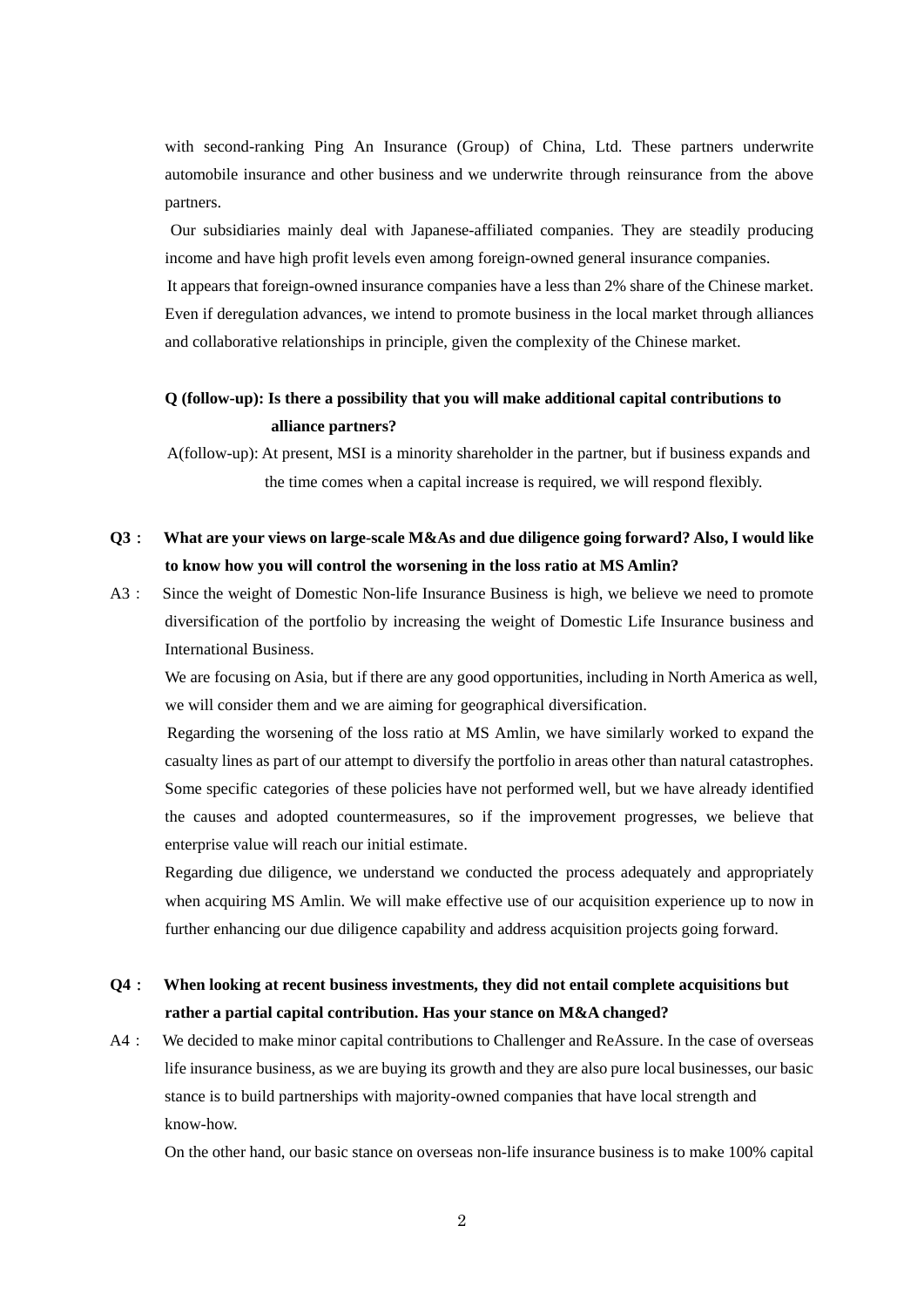with second-ranking Ping An Insurance (Group) of China, Ltd. These partners underwrite automobile insurance and other business and we underwrite through reinsurance from the above partners.

 Our subsidiaries mainly deal with Japanese-affiliated companies. They are steadily producing income and have high profit levels even among foreign-owned general insurance companies. It appears that foreign-owned insurance companies have a less than 2% share of the Chinese market. Even if deregulation advances, we intend to promote business in the local market through alliances and collaborative relationships in principle, given the complexity of the Chinese market.

# **Q (follow-up): Is there a possibility that you will make additional capital contributions to alliance partners?**

 A(follow-up): At present, MSI is a minority shareholder in the partner, but if business expands and the time comes when a capital increase is required, we will respond flexibly.

# **Q3**: **What are your views on large-scale M&As and due diligence going forward? Also, I would like to know how you will control the worsening in the loss ratio at MS Amlin?**

A3: Since the weight of Domestic Non-life Insurance Business is high, we believe we need to promote diversification of the portfolio by increasing the weight of Domestic Life Insurance business and International Business.

We are focusing on Asia, but if there are any good opportunities, including in North America as well, we will consider them and we are aiming for geographical diversification.

 Regarding the worsening of the loss ratio at MS Amlin, we have similarly worked to expand the casualty lines as part of our attempt to diversify the portfolio in areas other than natural catastrophes. Some specific categories of these policies have not performed well, but we have already identified the causes and adopted countermeasures, so if the improvement progresses, we believe that enterprise value will reach our initial estimate.

Regarding due diligence, we understand we conducted the process adequately and appropriately when acquiring MS Amlin. We will make effective use of our acquisition experience up to now in further enhancing our due diligence capability and address acquisition projects going forward.

### **Q4**: **When looking at recent business investments, they did not entail complete acquisitions but rather a partial capital contribution. Has your stance on M&A changed?**

A4: We decided to make minor capital contributions to Challenger and ReAssure. In the case of overseas life insurance business, as we are buying its growth and they are also pure local businesses, our basic stance is to build partnerships with majority-owned companies that have local strength and know-how.

On the other hand, our basic stance on overseas non-life insurance business is to make 100% capital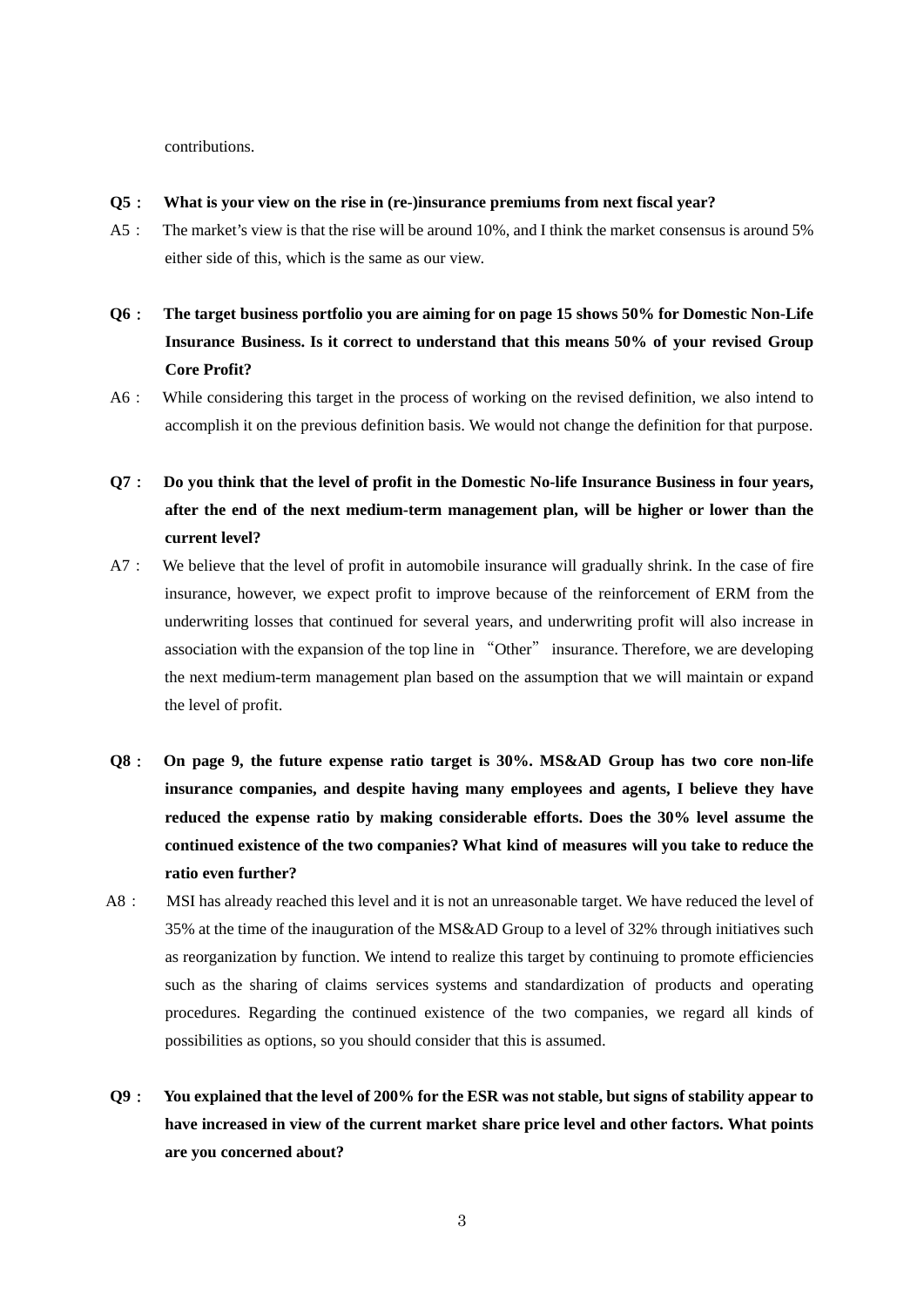contributions.

- **Q5**: **What is your view on the rise in (re-)insurance premiums from next fiscal year?**
- A5: The market's view is that the rise will be around 10%, and I think the market consensus is around 5% either side of this, which is the same as our view.
- **Q6**: **The target business portfolio you are aiming for on page 15 shows 50% for Domestic Non-Life Insurance Business. Is it correct to understand that this means 50% of your revised Group Core Profit?**
- A6: While considering this target in the process of working on the revised definition, we also intend to accomplish it on the previous definition basis. We would not change the definition for that purpose.
- **Q7**: **Do you think that the level of profit in the Domestic No-life Insurance Business in four years, after the end of the next medium-term management plan, will be higher or lower than the current level?**
- A7: We believe that the level of profit in automobile insurance will gradually shrink. In the case of fire insurance, however, we expect profit to improve because of the reinforcement of ERM from the underwriting losses that continued for several years, and underwriting profit will also increase in association with the expansion of the top line in "Other" insurance. Therefore, we are developing the next medium-term management plan based on the assumption that we will maintain or expand the level of profit.
- **Q8**: **On page 9, the future expense ratio target is 30%. MS&AD Group has two core non-life insurance companies, and despite having many employees and agents, I believe they have reduced the expense ratio by making considerable efforts. Does the 30% level assume the continued existence of the two companies? What kind of measures will you take to reduce the ratio even further?**
- A8: MSI has already reached this level and it is not an unreasonable target. We have reduced the level of 35% at the time of the inauguration of the MS&AD Group to a level of 32% through initiatives such as reorganization by function. We intend to realize this target by continuing to promote efficiencies such as the sharing of claims services systems and standardization of products and operating procedures. Regarding the continued existence of the two companies, we regard all kinds of possibilities as options, so you should consider that this is assumed.
- **Q9**: **You explained that the level of 200% for the ESR was not stable, but signs of stability appear to have increased in view of the current market share price level and other factors. What points are you concerned about?**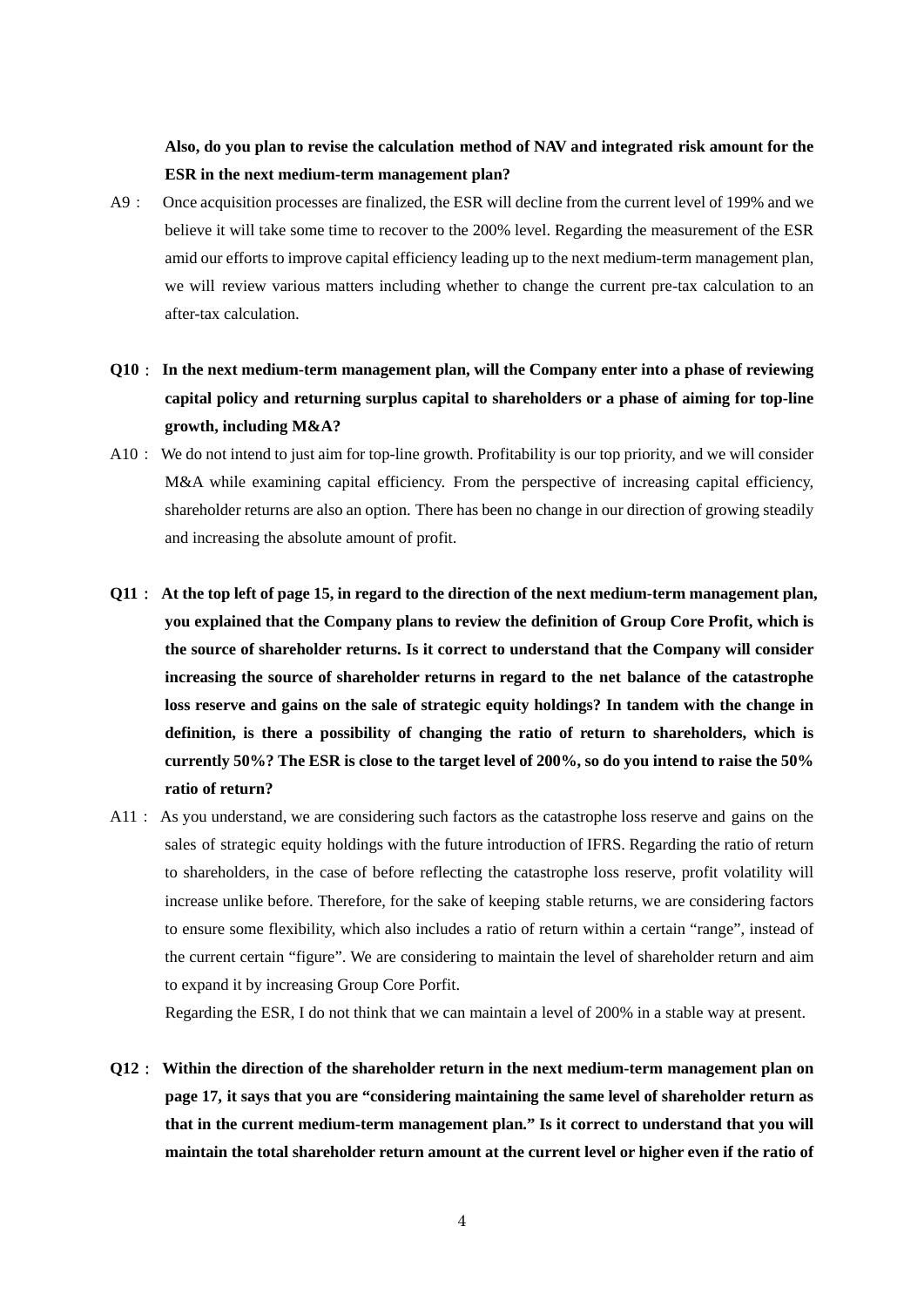**Also, do you plan to revise the calculation method of NAV and integrated risk amount for the ESR in the next medium-term management plan?** 

- A9: Once acquisition processes are finalized, the ESR will decline from the current level of 199% and we believe it will take some time to recover to the 200% level. Regarding the measurement of the ESR amid our efforts to improve capital efficiency leading up to the next medium-term management plan, we will review various matters including whether to change the current pre-tax calculation to an after-tax calculation.
- **Q10**: **In the next medium-term management plan, will the Company enter into a phase of reviewing capital policy and returning surplus capital to shareholders or a phase of aiming for top-line growth, including M&A?**
- A10: We do not intend to just aim for top-line growth. Profitability is our top priority, and we will consider M&A while examining capital efficiency. From the perspective of increasing capital efficiency, shareholder returns are also an option. There has been no change in our direction of growing steadily and increasing the absolute amount of profit.
- **Q11**: **At the top left of page 15, in regard to the direction of the next medium-term management plan, you explained that the Company plans to review the definition of Group Core Profit, which is the source of shareholder returns. Is it correct to understand that the Company will consider increasing the source of shareholder returns in regard to the net balance of the catastrophe loss reserve and gains on the sale of strategic equity holdings? In tandem with the change in definition, is there a possibility of changing the ratio of return to shareholders, which is currently 50%? The ESR is close to the target level of 200%, so do you intend to raise the 50% ratio of return?**
- A11: As you understand, we are considering such factors as the catastrophe loss reserve and gains on the sales of strategic equity holdings with the future introduction of IFRS. Regarding the ratio of return to shareholders, in the case of before reflecting the catastrophe loss reserve, profit volatility will increase unlike before. Therefore, for the sake of keeping stable returns, we are considering factors to ensure some flexibility, which also includes a ratio of return within a certain "range", instead of the current certain "figure". We are considering to maintain the level of shareholder return and aim to expand it by increasing Group Core Porfit.

Regarding the ESR, I do not think that we can maintain a level of 200% in a stable way at present.

**Q12**: **Within the direction of the shareholder return in the next medium-term management plan on page 17, it says that you are "considering maintaining the same level of shareholder return as that in the current medium-term management plan." Is it correct to understand that you will maintain the total shareholder return amount at the current level or higher even if the ratio of**